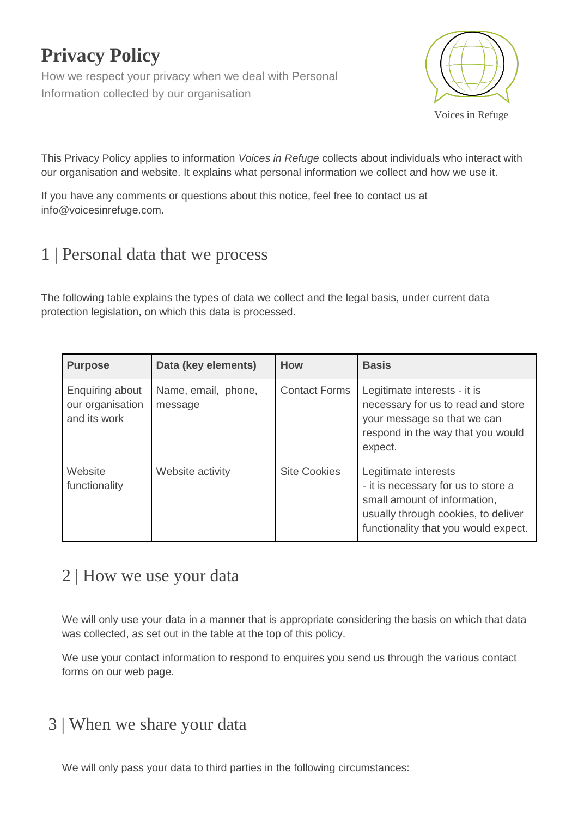# **Privacy Policy**

How we respect your privacy when we deal with Personal Information collected by our organisation



This Privacy Policy applies to information *Voices in Refuge* collects about individuals who interact with our organisation and website. It explains what personal information we collect and how we use it.

If you have any comments or questions about this notice, feel free to contact us at [info@voicesinrefuge.com.](mailto:info@voicesinrefuge.com)

## 1 | Personal data that we process

The following table explains the types of data we collect and the legal basis, under current data protection legislation, on which this data is processed.

| <b>Purpose</b>                                      | Data (key elements)            | <b>How</b>           | <b>Basis</b>                                                                                                                                                               |
|-----------------------------------------------------|--------------------------------|----------------------|----------------------------------------------------------------------------------------------------------------------------------------------------------------------------|
| Enquiring about<br>our organisation<br>and its work | Name, email, phone,<br>message | <b>Contact Forms</b> | Legitimate interests - it is<br>necessary for us to read and store<br>your message so that we can<br>respond in the way that you would<br>expect.                          |
| Website<br>functionality                            | Website activity               | <b>Site Cookies</b>  | Legitimate interests<br>- it is necessary for us to store a<br>small amount of information,<br>usually through cookies, to deliver<br>functionality that you would expect. |

#### 2 | How we use your data

We will only use your data in a manner that is appropriate considering the basis on which that data was collected, as set out in the table at the top of this policy.

We use your contact information to respond to enquires you send us through the various contact forms on our web page.

## 3 | When we share your data

We will only pass your data to third parties in the following circumstances: